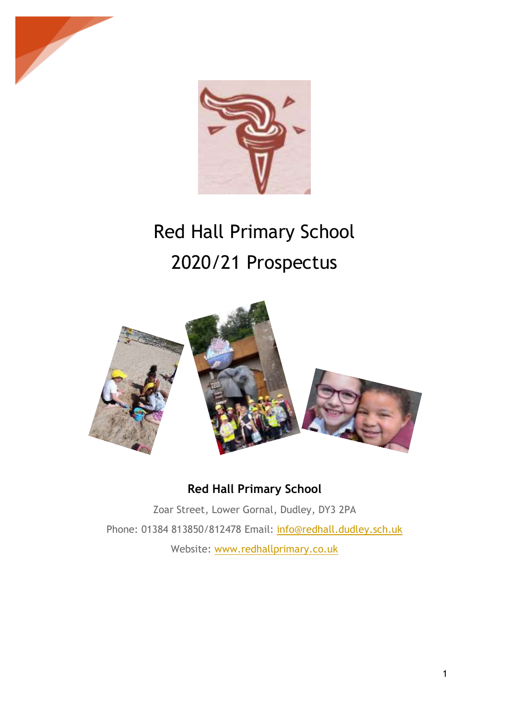



# Red Hall Primary School 2020/21 Prospectus



# **Red Hall Primary School**

Zoar Street, Lower Gornal, Dudley, DY3 2PA Phone: 01384 813850/812478 Email: info@redhall.dudley.sch.uk Website: www.redhallprimary.co.uk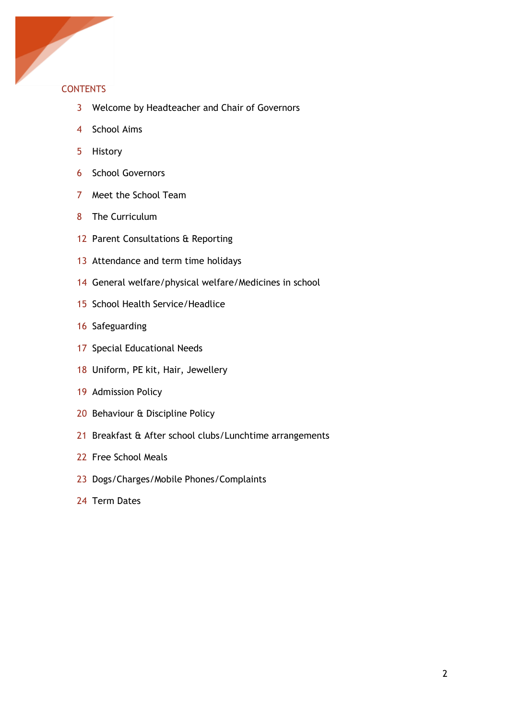

## **CONTENTS**

- Welcome by Headteacher and Chair of Governors
- School Aims
- History
- School Governors
- Meet the School Team
- The Curriculum
- 12 Parent Consultations & Reporting
- 13 Attendance and term time holidays
- General welfare/physical welfare/Medicines in school
- School Health Service/Headlice
- Safeguarding
- Special Educational Needs
- Uniform, PE kit, Hair, Jewellery
- Admission Policy
- Behaviour & Discipline Policy
- Breakfast & After school clubs/Lunchtime arrangements
- Free School Meals
- Dogs/Charges/Mobile Phones/Complaints
- Term Dates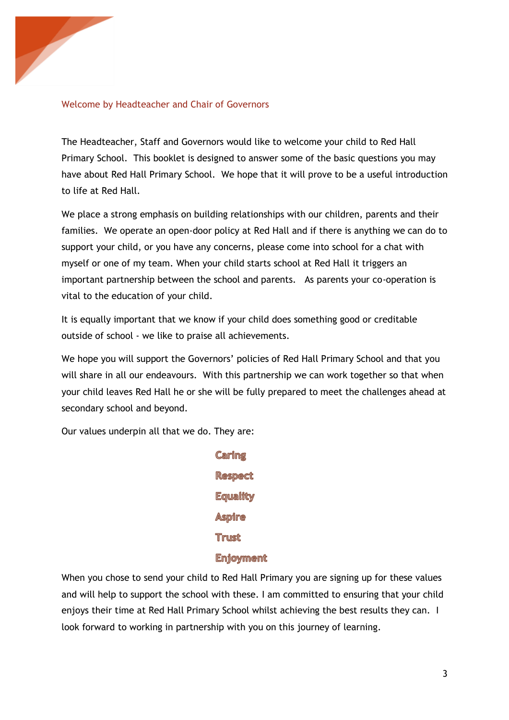

#### Welcome by Headteacher and Chair of Governors

The Headteacher, Staff and Governors would like to welcome your child to Red Hall Primary School. This booklet is designed to answer some of the basic questions you may have about Red Hall Primary School. We hope that it will prove to be a useful introduction to life at Red Hall.

We place a strong emphasis on building relationships with our children, parents and their families. We operate an open-door policy at Red Hall and if there is anything we can do to support your child, or you have any concerns, please come into school for a chat with myself or one of my team. When your child starts school at Red Hall it triggers an important partnership between the school and parents. As parents your co-operation is vital to the education of your child.

It is equally important that we know if your child does something good or creditable outside of school - we like to praise all achievements.

We hope you will support the Governors' policies of Red Hall Primary School and that you will share in all our endeavours. With this partnership we can work together so that when your child leaves Red Hall he or she will be fully prepared to meet the challenges ahead at secondary school and beyond.

Our values underpin all that we do. They are:

**Caring Respect Equality Aspire Trust Enjoyment** 

When you chose to send your child to Red Hall Primary you are signing up for these values and will help to support the school with these. I am committed to ensuring that your child enjoys their time at Red Hall Primary School whilst achieving the best results they can. I look forward to working in partnership with you on this journey of learning.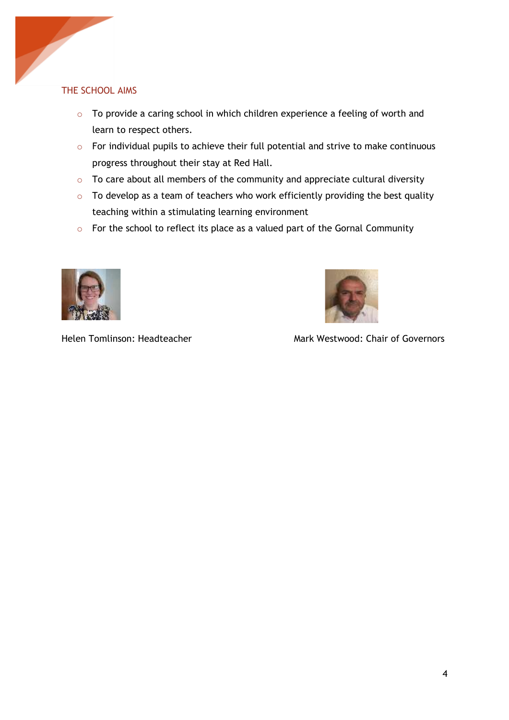# THE SCHOOL AIMS

ļ

- o To provide a caring school in which children experience a feeling of worth and learn to respect others.
- o For individual pupils to achieve their full potential and strive to make continuous progress throughout their stay at Red Hall.
- o To care about all members of the community and appreciate cultural diversity
- $\circ$  To develop as a team of teachers who work efficiently providing the best quality teaching within a stimulating learning environment
- o For the school to reflect its place as a valued part of the Gornal Community





Helen Tomlinson: Headteacher Mark Westwood: Chair of Governors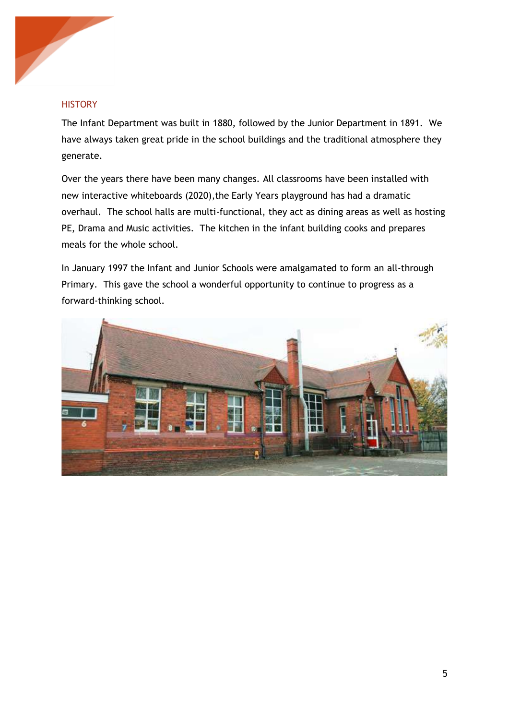

#### **HISTORY**

The Infant Department was built in 1880, followed by the Junior Department in 1891. We have always taken great pride in the school buildings and the traditional atmosphere they generate.

Over the years there have been many changes. All classrooms have been installed with new interactive whiteboards (2020),the Early Years playground has had a dramatic overhaul. The school halls are multi-functional, they act as dining areas as well as hosting PE, Drama and Music activities. The kitchen in the infant building cooks and prepares meals for the whole school.

In January 1997 the Infant and Junior Schools were amalgamated to form an all-through Primary. This gave the school a wonderful opportunity to continue to progress as a forward-thinking school.

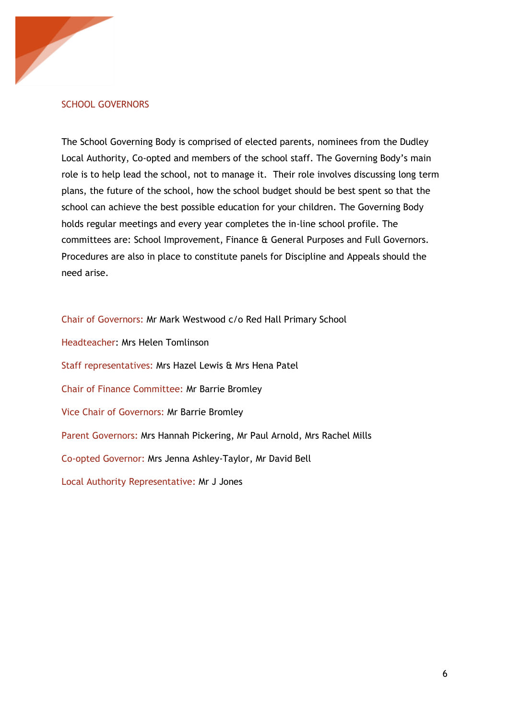

#### SCHOOL GOVERNORS

The School Governing Body is comprised of elected parents, nominees from the Dudley Local Authority, Co-opted and members of the school staff. The Governing Body's main role is to help lead the school, not to manage it. Their role involves discussing long term plans, the future of the school, how the school budget should be best spent so that the school can achieve the best possible education for your children. The Governing Body holds regular meetings and every year completes the in-line school profile. The committees are: School Improvement, Finance & General Purposes and Full Governors. Procedures are also in place to constitute panels for Discipline and Appeals should the need arise.

Chair of Governors: Mr Mark Westwood c/o Red Hall Primary School Headteacher: Mrs Helen Tomlinson Staff representatives: Mrs Hazel Lewis & Mrs Hena Patel Chair of Finance Committee: Mr Barrie Bromley Vice Chair of Governors: Mr Barrie Bromley Parent Governors: Mrs Hannah Pickering, Mr Paul Arnold, Mrs Rachel Mills Co-opted Governor: Mrs Jenna Ashley-Taylor, Mr David Bell Local Authority Representative: Mr J Jones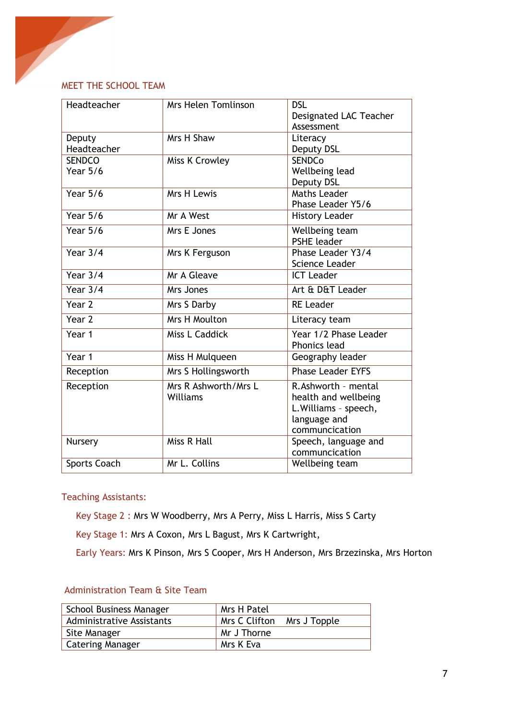# MEET THE SCHOOL TEAM

| Headteacher         | Mrs Helen Tomlinson              | <b>DSL</b>                                    |
|---------------------|----------------------------------|-----------------------------------------------|
|                     |                                  | Designated LAC Teacher<br>Assessment          |
| Deputy              | Mrs H Shaw                       | Literacy                                      |
| Headteacher         |                                  | Deputy DSL                                    |
| <b>SENDCO</b>       | Miss K Crowley                   | <b>SENDCo</b>                                 |
| <b>Year 5/6</b>     |                                  | Wellbeing lead                                |
| <b>Year 5/6</b>     | Mrs H Lewis                      | Deputy DSL<br><b>Maths Leader</b>             |
|                     |                                  | Phase Leader Y5/6                             |
| Year $5/6$          | Mr A West                        | <b>History Leader</b>                         |
| Year $5/6$          | Mrs E Jones                      | Wellbeing team                                |
|                     |                                  | <b>PSHE leader</b>                            |
| Year $3/4$          | Mrs K Ferguson                   | Phase Leader Y3/4<br>Science Leader           |
| Year $3/4$          | Mr A Gleave                      | <b>ICT Leader</b>                             |
| Year $3/4$          | Mrs Jones                        | Art & D&T Leader                              |
|                     |                                  |                                               |
| Year 2              | Mrs S Darby                      | <b>RE Leader</b>                              |
| Year <sub>2</sub>   | Mrs H Moulton                    | Literacy team                                 |
| Year 1              | Miss L Caddick                   | Year 1/2 Phase Leader<br><b>Phonics lead</b>  |
| Year 1              | Miss H Mulqueen                  | Geography leader                              |
| Reception           | Mrs S Hollingsworth              | <b>Phase Leader EYFS</b>                      |
| Reception           | Mrs R Ashworth/Mrs L<br>Williams | R.Ashworth - mental                           |
|                     |                                  | health and wellbeing<br>L. Williams - speech, |
|                     |                                  | language and                                  |
|                     |                                  | communcication                                |
| Nursery             | Miss R Hall                      | Speech, language and                          |
|                     |                                  | communcication                                |
| <b>Sports Coach</b> | Mr L. Collins                    | Wellbeing team                                |

Teaching Assistants:

- Key Stage 2 : Mrs W Woodberry, Mrs A Perry, Miss L Harris, Miss S Carty
- Key Stage 1: Mrs A Coxon, Mrs L Bagust, Mrs K Cartwright,
- Early Years: Mrs K Pinson, Mrs S Cooper, Mrs H Anderson, Mrs Brzezinska, Mrs Horton

# Administration Team & Site Team

| <b>School Business Manager</b>   | Mrs H Patel                   |
|----------------------------------|-------------------------------|
| <b>Administrative Assistants</b> | Mrs C Clifton<br>Mrs J Topple |
| Site Manager                     | Mr J Thorne                   |
| <b>Catering Manager</b>          | l Mrs K Eva                   |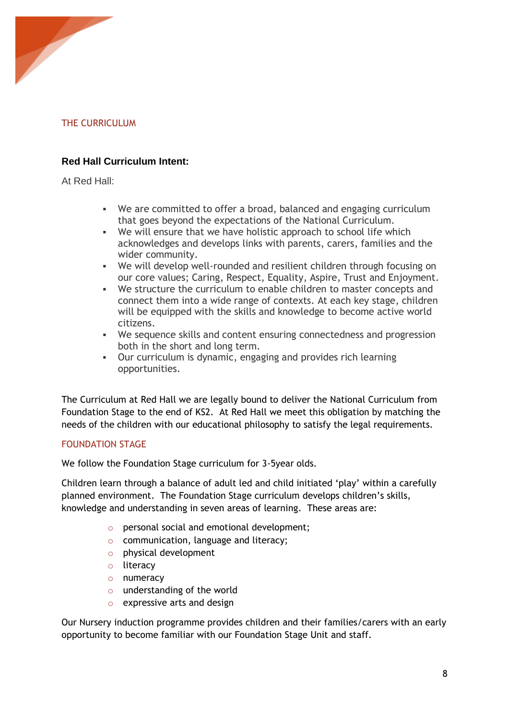

# THE CURRICULUM

# **Red Hall Curriculum Intent:**

At Red Hall:

- We are committed to offer a broad, balanced and engaging curriculum that goes beyond the expectations of the National Curriculum.
- We will ensure that we have holistic approach to school life which acknowledges and develops links with parents, carers, families and the wider community.
- We will develop well-rounded and resilient children through focusing on our core values; Caring, Respect, Equality, Aspire, Trust and Enjoyment.
- We structure the curriculum to enable children to master concepts and connect them into a wide range of contexts. At each key stage, children will be equipped with the skills and knowledge to become active world citizens.
- We sequence skills and content ensuring connectedness and progression both in the short and long term.
- Our curriculum is dynamic, engaging and provides rich learning opportunities.

The Curriculum at Red Hall we are legally bound to deliver the National Curriculum from Foundation Stage to the end of KS2. At Red Hall we meet this obligation by matching the needs of the children with our educational philosophy to satisfy the legal requirements.

## FOUNDATION STAGE

We follow the Foundation Stage curriculum for 3-5year olds.

Children learn through a balance of adult led and child initiated 'play' within a carefully planned environment. The Foundation Stage curriculum develops children's skills, knowledge and understanding in seven areas of learning. These areas are:

- o personal social and emotional development;
- o communication, language and literacy;
- o physical development
- o literacy
- o numeracy
- o understanding of the world
- o expressive arts and design

Our Nursery induction programme provides children and their families/carers with an early opportunity to become familiar with our Foundation Stage Unit and staff.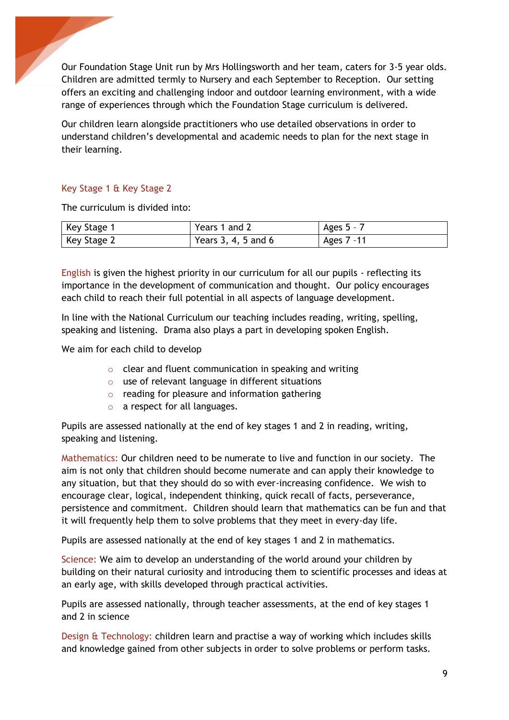Our Foundation Stage Unit run by Mrs Hollingsworth and her team, caters for 3-5 year olds. Children are admitted termly to Nursery and each September to Reception. Our setting offers an exciting and challenging indoor and outdoor learning environment, with a wide range of experiences through which the Foundation Stage curriculum is delivered.

Our children learn alongside practitioners who use detailed observations in order to understand children's developmental and academic needs to plan for the next stage in their learning.

# Key Stage 1 & Key Stage 2

ļ

The curriculum is divided into:

| Key Stage 1 | Years 1 and 2       | Ages $5 - 7$ |
|-------------|---------------------|--------------|
| Key Stage 2 | Years 3, 4, 5 and 6 | Ages 7 -11   |

English is given the highest priority in our curriculum for all our pupils - reflecting its importance in the development of communication and thought. Our policy encourages each child to reach their full potential in all aspects of language development.

In line with the National Curriculum our teaching includes reading, writing, spelling, speaking and listening. Drama also plays a part in developing spoken English.

We aim for each child to develop

- o clear and fluent communication in speaking and writing
- o use of relevant language in different situations
- $\circ$  reading for pleasure and information gathering
- o a respect for all languages.

Pupils are assessed nationally at the end of key stages 1 and 2 in reading, writing, speaking and listening.

Mathematics: Our children need to be numerate to live and function in our society. The aim is not only that children should become numerate and can apply their knowledge to any situation, but that they should do so with ever-increasing confidence. We wish to encourage clear, logical, independent thinking, quick recall of facts, perseverance, persistence and commitment. Children should learn that mathematics can be fun and that it will frequently help them to solve problems that they meet in every-day life.

Pupils are assessed nationally at the end of key stages 1 and 2 in mathematics.

Science: We aim to develop an understanding of the world around your children by building on their natural curiosity and introducing them to scientific processes and ideas at an early age, with skills developed through practical activities.

Pupils are assessed nationally, through teacher assessments, at the end of key stages 1 and 2 in science

Design & Technology: children learn and practise a way of working which includes skills and knowledge gained from other subjects in order to solve problems or perform tasks.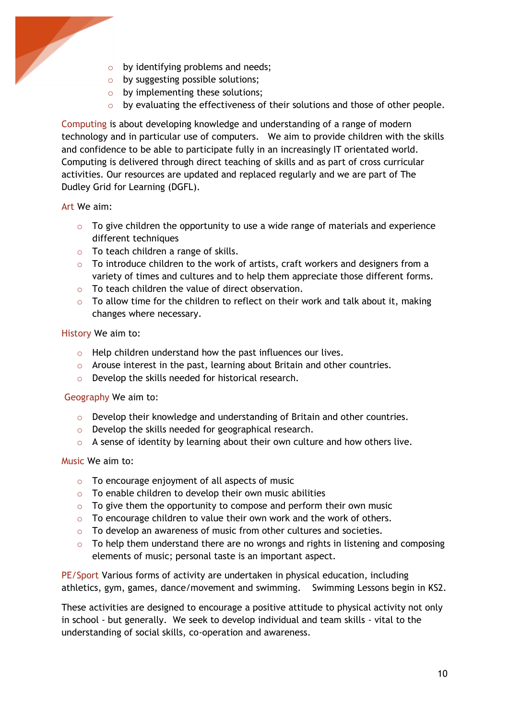

- o by identifying problems and needs;
- o by suggesting possible solutions;
- o by implementing these solutions;
- o by evaluating the effectiveness of their solutions and those of other people.

Computing is about developing knowledge and understanding of a range of modern technology and in particular use of computers. We aim to provide children with the skills and confidence to be able to participate fully in an increasingly IT orientated world. Computing is delivered through direct teaching of skills and as part of cross curricular activities. Our resources are updated and replaced regularly and we are part of The Dudley Grid for Learning (DGFL).

#### Art We aim:

- $\circ$  To give children the opportunity to use a wide range of materials and experience different techniques
- o To teach children a range of skills.
- $\circ$  To introduce children to the work of artists, craft workers and designers from a variety of times and cultures and to help them appreciate those different forms.
- o To teach children the value of direct observation.
- $\circ$  To allow time for the children to reflect on their work and talk about it, making changes where necessary.

History We aim to:

- o Help children understand how the past influences our lives.
- o Arouse interest in the past, learning about Britain and other countries.
- o Develop the skills needed for historical research.

#### Geography We aim to:

- $\circ$  Develop their knowledge and understanding of Britain and other countries.
- o Develop the skills needed for geographical research.
- $\circ$  A sense of identity by learning about their own culture and how others live.

#### Music We aim to:

- o To encourage enjoyment of all aspects of music
- $\circ$  To enable children to develop their own music abilities
- $\circ$  To give them the opportunity to compose and perform their own music
- o To encourage children to value their own work and the work of others.
- o To develop an awareness of music from other cultures and societies.
- $\circ$  To help them understand there are no wrongs and rights in listening and composing elements of music; personal taste is an important aspect.

PE/Sport Various forms of activity are undertaken in physical education, including athletics, gym, games, dance/movement and swimming. Swimming Lessons begin in KS2.

These activities are designed to encourage a positive attitude to physical activity not only in school - but generally. We seek to develop individual and team skills - vital to the understanding of social skills, co-operation and awareness.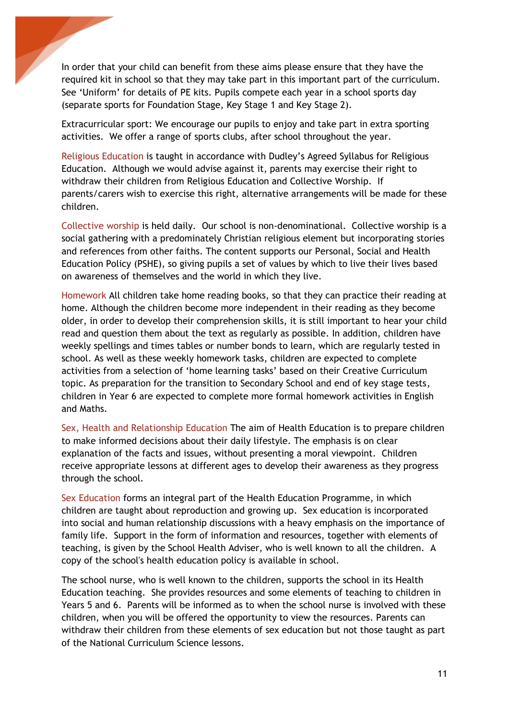In order that your child can benefit from these aims please ensure that they have the required kit in school so that they may take part in this important part of the curriculum. See 'Uniform' for details of PE kits. Pupils compete each year in a school sports day (separate sports for Foundation Stage, Key Stage 1 and Key Stage 2).

ļ

Extracurricular sport: We encourage our pupils to enjoy and take part in extra sporting activities. We offer a range of sports clubs, after school throughout the year.

Religious Education is taught in accordance with Dudley's Agreed Syllabus for Religious Education. Although we would advise against it, parents may exercise their right to withdraw their children from Religious Education and Collective Worship. If parents/carers wish to exercise this right, alternative arrangements will be made for these children.

Collective worship is held daily. Our school is non-denominational. Collective worship is a social gathering with a predominately Christian religious element but incorporating stories and references from other faiths. The content supports our Personal, Social and Health Education Policy (PSHE), so giving pupils a set of values by which to live their lives based on awareness of themselves and the world in which they live.

Homework All children take home reading books, so that they can practice their reading at home. Although the children become more independent in their reading as they become older, in order to develop their comprehension skills, it is still important to hear your child read and question them about the text as regularly as possible. In addition, children have weekly spellings and times tables or number bonds to learn, which are regularly tested in school. As well as these weekly homework tasks, children are expected to complete activities from a selection of 'home learning tasks' based on their Creative Curriculum topic. As preparation for the transition to Secondary School and end of key stage tests, children in Year 6 are expected to complete more formal homework activities in English and Maths.

Sex, Health and Relationship Education The aim of Health Education is to prepare children to make informed decisions about their daily lifestyle. The emphasis is on clear explanation of the facts and issues, without presenting a moral viewpoint. Children receive appropriate lessons at different ages to develop their awareness as they progress through the school.

Sex Education forms an integral part of the Health Education Programme, in which children are taught about reproduction and growing up. Sex education is incorporated into social and human relationship discussions with a heavy emphasis on the importance of family life. Support in the form of information and resources, together with elements of teaching, is given by the School Health Adviser, who is well known to all the children. A copy of the school's health education policy is available in school.

The school nurse, who is well known to the children, supports the school in its Health Education teaching. She provides resources and some elements of teaching to children in Years 5 and 6. Parents will be informed as to when the school nurse is involved with these children, when you will be offered the opportunity to view the resources. Parents can withdraw their children from these elements of sex education but not those taught as part of the National Curriculum Science lessons.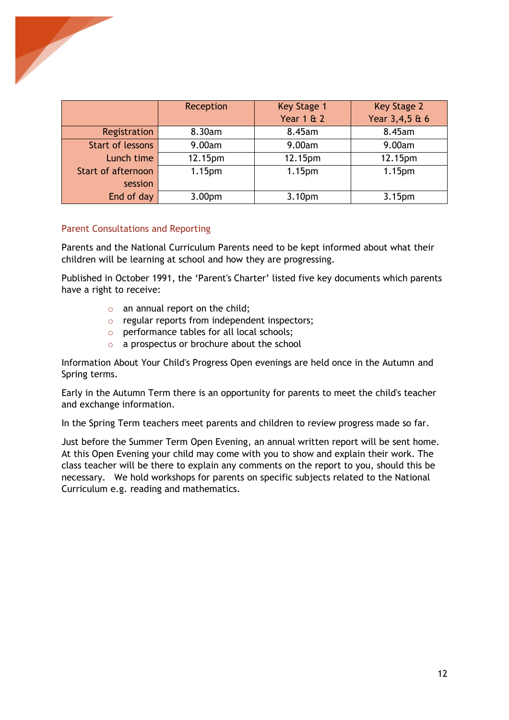

|                           | Reception          | <b>Key Stage 1</b><br><b>Year 1 &amp; 2</b> | Key Stage 2<br>Year 3,4,5 & 6 |
|---------------------------|--------------------|---------------------------------------------|-------------------------------|
| Registration              | 8.30am             | 8.45am                                      | 8.45am                        |
| <b>Start of lessons</b>   | 9.00am             | 9.00am                                      | 9.00am                        |
| Lunch time                | 12.15pm            | 12.15pm                                     | 12.15pm                       |
| <b>Start of afternoon</b> | 1.15 <sub>pm</sub> | 1.15 <sub>pm</sub>                          | 1.15 <sub>pm</sub>            |
| session                   |                    |                                             |                               |
| End of day                | 3.00 <sub>pm</sub> | 3.10pm                                      | 3.15pm                        |

#### Parent Consultations and Reporting

Parents and the National Curriculum Parents need to be kept informed about what their children will be learning at school and how they are progressing.

Published in October 1991, the 'Parent's Charter' listed five key documents which parents have a right to receive:

- o an annual report on the child;
- o regular reports from independent inspectors;
- o performance tables for all local schools;
- o a prospectus or brochure about the school

Information About Your Child's Progress Open evenings are held once in the Autumn and Spring terms.

Early in the Autumn Term there is an opportunity for parents to meet the child's teacher and exchange information.

In the Spring Term teachers meet parents and children to review progress made so far.

Just before the Summer Term Open Evening, an annual written report will be sent home. At this Open Evening your child may come with you to show and explain their work. The class teacher will be there to explain any comments on the report to you, should this be necessary. We hold workshops for parents on specific subjects related to the National Curriculum e.g. reading and mathematics.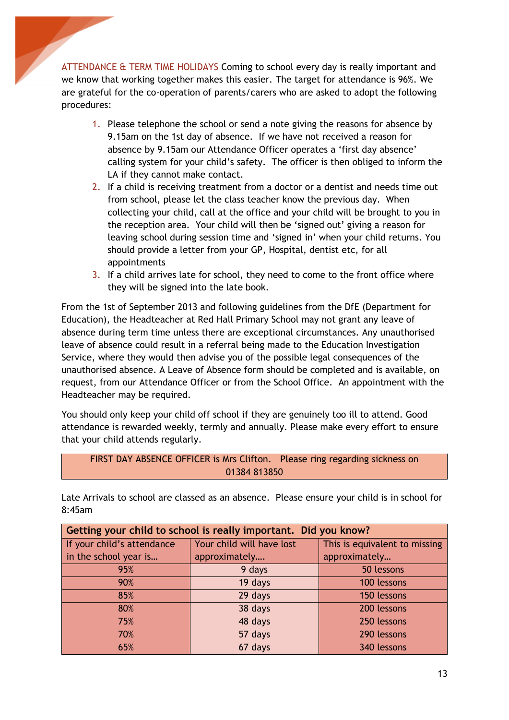ATTENDANCE & TERM TIME HOLIDAYS Coming to school every day is really important and we know that working together makes this easier. The target for attendance is 96%. We are grateful for the co-operation of parents/carers who are asked to adopt the following procedures:

ļ

- 1. Please telephone the school or send a note giving the reasons for absence by 9.15am on the 1st day of absence. If we have not received a reason for absence by 9.15am our Attendance Officer operates a 'first day absence' calling system for your child's safety. The officer is then obliged to inform the LA if they cannot make contact.
- 2. If a child is receiving treatment from a doctor or a dentist and needs time out from school, please let the class teacher know the previous day. When collecting your child, call at the office and your child will be brought to you in the reception area. Your child will then be 'signed out' giving a reason for leaving school during session time and 'signed in' when your child returns. You should provide a letter from your GP, Hospital, dentist etc, for all appointments
- 3. If a child arrives late for school, they need to come to the front office where they will be signed into the late book.

From the 1st of September 2013 and following guidelines from the DfE (Department for Education), the Headteacher at Red Hall Primary School may not grant any leave of absence during term time unless there are exceptional circumstances. Any unauthorised leave of absence could result in a referral being made to the Education Investigation Service, where they would then advise you of the possible legal consequences of the unauthorised absence. A Leave of Absence form should be completed and is available, on request, from our Attendance Officer or from the School Office. An appointment with the Headteacher may be required.

You should only keep your child off school if they are genuinely too ill to attend. Good attendance is rewarded weekly, termly and annually. Please make every effort to ensure that your child attends regularly.

| FIRST DAY ABSENCE OFFICER is Mrs Clifton. Please ring regarding sickness on |  |
|-----------------------------------------------------------------------------|--|
| 01384 813850                                                                |  |

Late Arrivals to school are classed as an absence. Please ensure your child is in school for 8:45am

| Getting your child to school is really important. Did you know? |                           |                               |
|-----------------------------------------------------------------|---------------------------|-------------------------------|
| If your child's attendance                                      | Your child will have lost | This is equivalent to missing |
| in the school year is                                           | approximately             | approximately                 |
| 95%                                                             | 9 days                    | 50 lessons                    |
| 90%                                                             | 19 days                   | 100 lessons                   |
| 85%                                                             | 29 days                   | 150 lessons                   |
| 80%                                                             | 38 days                   | 200 lessons                   |
| 75%                                                             | 48 days                   | 250 lessons                   |
| 70%                                                             | 57 days                   | 290 lessons                   |
| 65%                                                             | 67 days                   | 340 lessons                   |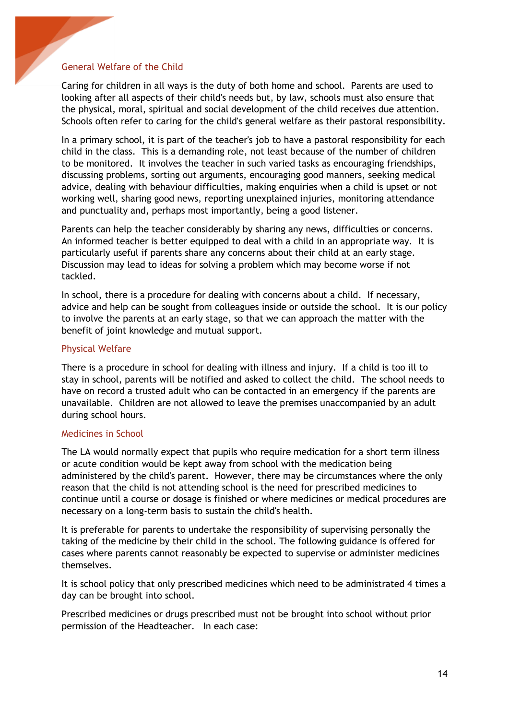#### General Welfare of the Child

ļ

Caring for children in all ways is the duty of both home and school. Parents are used to looking after all aspects of their child's needs but, by law, schools must also ensure that the physical, moral, spiritual and social development of the child receives due attention. Schools often refer to caring for the child's general welfare as their pastoral responsibility.

In a primary school, it is part of the teacher's job to have a pastoral responsibility for each child in the class. This is a demanding role, not least because of the number of children to be monitored. It involves the teacher in such varied tasks as encouraging friendships, discussing problems, sorting out arguments, encouraging good manners, seeking medical advice, dealing with behaviour difficulties, making enquiries when a child is upset or not working well, sharing good news, reporting unexplained injuries, monitoring attendance and punctuality and, perhaps most importantly, being a good listener.

Parents can help the teacher considerably by sharing any news, difficulties or concerns. An informed teacher is better equipped to deal with a child in an appropriate way. It is particularly useful if parents share any concerns about their child at an early stage. Discussion may lead to ideas for solving a problem which may become worse if not tackled.

In school, there is a procedure for dealing with concerns about a child. If necessary, advice and help can be sought from colleagues inside or outside the school. It is our policy to involve the parents at an early stage, so that we can approach the matter with the benefit of joint knowledge and mutual support.

#### Physical Welfare

There is a procedure in school for dealing with illness and injury. If a child is too ill to stay in school, parents will be notified and asked to collect the child. The school needs to have on record a trusted adult who can be contacted in an emergency if the parents are unavailable. Children are not allowed to leave the premises unaccompanied by an adult during school hours.

#### Medicines in School

The LA would normally expect that pupils who require medication for a short term illness or acute condition would be kept away from school with the medication being administered by the child's parent. However, there may be circumstances where the only reason that the child is not attending school is the need for prescribed medicines to continue until a course or dosage is finished or where medicines or medical procedures are necessary on a long-term basis to sustain the child's health.

It is preferable for parents to undertake the responsibility of supervising personally the taking of the medicine by their child in the school. The following guidance is offered for cases where parents cannot reasonably be expected to supervise or administer medicines themselves.

It is school policy that only prescribed medicines which need to be administrated 4 times a day can be brought into school.

Prescribed medicines or drugs prescribed must not be brought into school without prior permission of the Headteacher. In each case: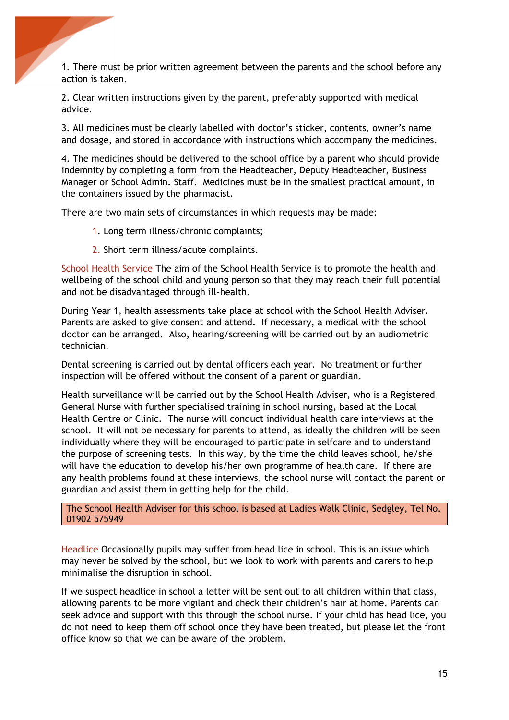1. There must be prior written agreement between the parents and the school before any action is taken.

2. Clear written instructions given by the parent, preferably supported with medical advice.

3. All medicines must be clearly labelled with doctor's sticker, contents, owner's name and dosage, and stored in accordance with instructions which accompany the medicines.

4. The medicines should be delivered to the school office by a parent who should provide indemnity by completing a form from the Headteacher, Deputy Headteacher, Business Manager or School Admin. Staff. Medicines must be in the smallest practical amount, in the containers issued by the pharmacist.

There are two main sets of circumstances in which requests may be made:

1. Long term illness/chronic complaints;

ļ

2. Short term illness/acute complaints.

School Health Service The aim of the School Health Service is to promote the health and wellbeing of the school child and young person so that they may reach their full potential and not be disadvantaged through ill-health.

During Year 1, health assessments take place at school with the School Health Adviser. Parents are asked to give consent and attend. If necessary, a medical with the school doctor can be arranged. Also, hearing/screening will be carried out by an audiometric technician.

Dental screening is carried out by dental officers each year. No treatment or further inspection will be offered without the consent of a parent or guardian.

Health surveillance will be carried out by the School Health Adviser, who is a Registered General Nurse with further specialised training in school nursing, based at the Local Health Centre or Clinic. The nurse will conduct individual health care interviews at the school. It will not be necessary for parents to attend, as ideally the children will be seen individually where they will be encouraged to participate in selfcare and to understand the purpose of screening tests. In this way, by the time the child leaves school, he/she will have the education to develop his/her own programme of health care. If there are any health problems found at these interviews, the school nurse will contact the parent or guardian and assist them in getting help for the child.

The School Health Adviser for this school is based at Ladies Walk Clinic, Sedgley, Tel No. 01902 575949

Headlice Occasionally pupils may suffer from head lice in school. This is an issue which may never be solved by the school, but we look to work with parents and carers to help minimalise the disruption in school.

If we suspect headlice in school a letter will be sent out to all children within that class, allowing parents to be more vigilant and check their children's hair at home. Parents can seek advice and support with this through the school nurse. If your child has head lice, you do not need to keep them off school once they have been treated, but please let the front office know so that we can be aware of the problem.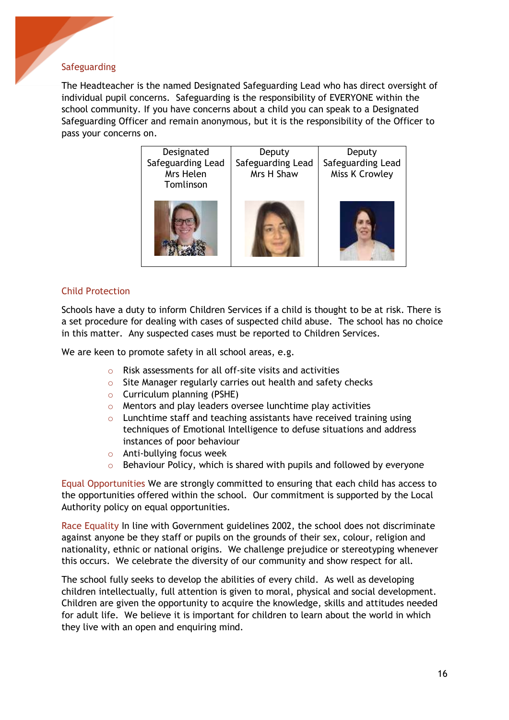#### Safeguarding

ļ

The Headteacher is the named Designated Safeguarding Lead who has direct oversight of individual pupil concerns. Safeguarding is the responsibility of EVERYONE within the school community. If you have concerns about a child you can speak to a Designated Safeguarding Officer and remain anonymous, but it is the responsibility of the Officer to pass your concerns on.

| Designated<br>Safeguarding Lead<br>Mrs Helen<br>Tomlinson | Deputy<br>Safeguarding Lead<br>Mrs H Shaw | Deputy<br>Safeguarding Lead<br>Miss K Crowley |
|-----------------------------------------------------------|-------------------------------------------|-----------------------------------------------|
|                                                           |                                           |                                               |

#### Child Protection

Schools have a duty to inform Children Services if a child is thought to be at risk. There is a set procedure for dealing with cases of suspected child abuse. The school has no choice in this matter. Any suspected cases must be reported to Children Services.

We are keen to promote safety in all school areas, e.g.

- o Risk assessments for all off-site visits and activities
- o Site Manager regularly carries out health and safety checks
- o Curriculum planning (PSHE)
- o Mentors and play leaders oversee lunchtime play activities
- $\circ$  Lunchtime staff and teaching assistants have received training using techniques of Emotional Intelligence to defuse situations and address instances of poor behaviour
- o Anti-bullying focus week
- o Behaviour Policy, which is shared with pupils and followed by everyone

Equal Opportunities We are strongly committed to ensuring that each child has access to the opportunities offered within the school. Our commitment is supported by the Local Authority policy on equal opportunities.

Race Equality In line with Government guidelines 2002, the school does not discriminate against anyone be they staff or pupils on the grounds of their sex, colour, religion and nationality, ethnic or national origins. We challenge prejudice or stereotyping whenever this occurs. We celebrate the diversity of our community and show respect for all.

The school fully seeks to develop the abilities of every child. As well as developing children intellectually, full attention is given to moral, physical and social development. Children are given the opportunity to acquire the knowledge, skills and attitudes needed for adult life. We believe it is important for children to learn about the world in which they live with an open and enquiring mind.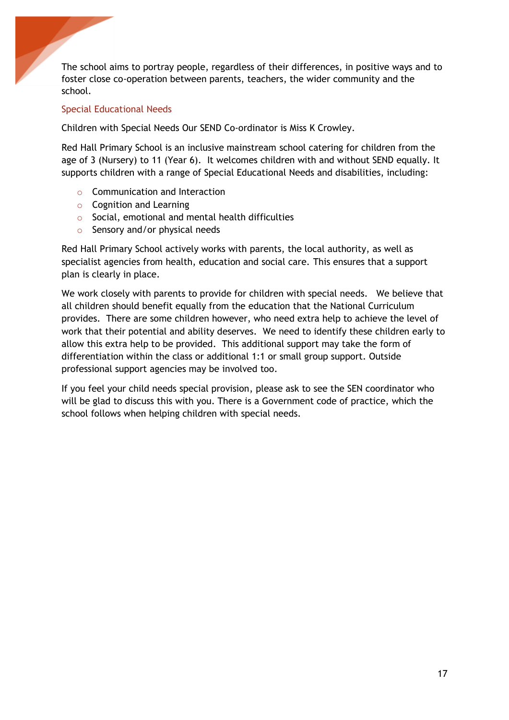The school aims to portray people, regardless of their differences, in positive ways and to foster close co-operation between parents, teachers, the wider community and the school.

#### Special Educational Needs

ļ

Children with Special Needs Our SEND Co-ordinator is Miss K Crowley.

Red Hall Primary School is an inclusive mainstream school catering for children from the age of 3 (Nursery) to 11 (Year 6). It welcomes children with and without SEND equally. It supports children with a range of Special Educational Needs and disabilities, including:

- o Communication and Interaction
- o Cognition and Learning
- o Social, emotional and mental health difficulties
- o Sensory and/or physical needs

Red Hall Primary School actively works with parents, the local authority, as well as specialist agencies from health, education and social care. This ensures that a support plan is clearly in place.

We work closely with parents to provide for children with special needs. We believe that all children should benefit equally from the education that the National Curriculum provides. There are some children however, who need extra help to achieve the level of work that their potential and ability deserves. We need to identify these children early to allow this extra help to be provided. This additional support may take the form of differentiation within the class or additional 1:1 or small group support. Outside professional support agencies may be involved too.

If you feel your child needs special provision, please ask to see the SEN coordinator who will be glad to discuss this with you. There is a Government code of practice, which the school follows when helping children with special needs.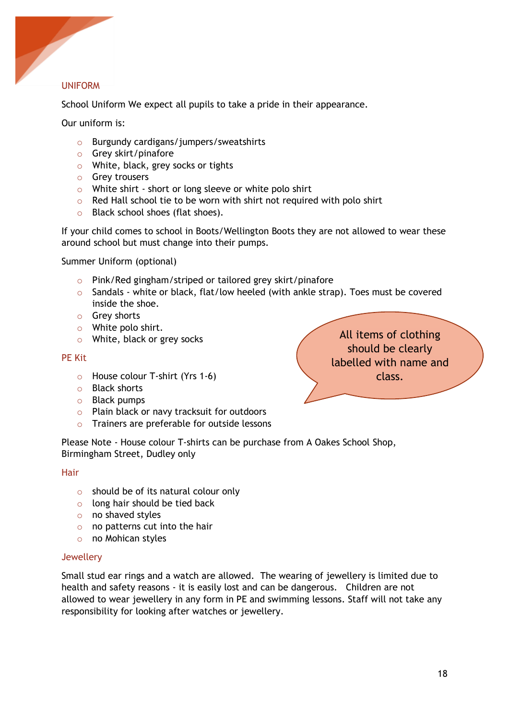

#### UNIFORM

School Uniform We expect all pupils to take a pride in their appearance.

Our uniform is:

- o Burgundy cardigans/jumpers/sweatshirts
- o Grey skirt/pinafore
- o White, black, grey socks or tights
- o Grey trousers
- o White shirt short or long sleeve or white polo shirt
- o Red Hall school tie to be worn with shirt not required with polo shirt
- o Black school shoes (flat shoes).

If your child comes to school in Boots/Wellington Boots they are not allowed to wear these around school but must change into their pumps.

Summer Uniform (optional)

- o Pink/Red gingham/striped or tailored grey skirt/pinafore
- $\circ$  Sandals white or black, flat/low heeled (with ankle strap). Toes must be covered inside the shoe.
- o Grey shorts
- o White polo shirt.
- o White, black or grey socks

#### PE Kit

- o House colour T-shirt (Yrs 1-6)
- o Black shorts
- o Black pumps
- o Plain black or navy tracksuit for outdoors
- o Trainers are preferable for outside lessons

Please Note - House colour T-shirts can be purchase from A Oakes School Shop, Birmingham Street, Dudley only

Hair

- $\circ$  should be of its natural colour only
- $\circ$  long hair should be tied back
- o no shaved styles
- o no patterns cut into the hair
- o no Mohican styles

#### **Jewellery**

Small stud ear rings and a watch are allowed. The wearing of jewellery is limited due to health and safety reasons - it is easily lost and can be dangerous. Children are not allowed to wear jewellery in any form in PE and swimming lessons. Staff will not take any responsibility for looking after watches or jewellery.

All items of clothing should be clearly labelled with name and class.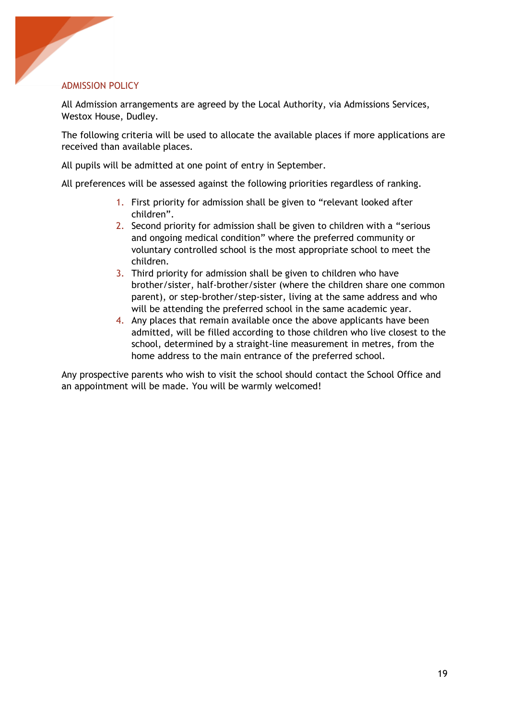#### ADMISSION POLICY

ļ

All Admission arrangements are agreed by the Local Authority, via Admissions Services, Westox House, Dudley.

The following criteria will be used to allocate the available places if more applications are received than available places.

All pupils will be admitted at one point of entry in September.

All preferences will be assessed against the following priorities regardless of ranking.

- 1. First priority for admission shall be given to "relevant looked after children".
- 2. Second priority for admission shall be given to children with a "serious and ongoing medical condition" where the preferred community or voluntary controlled school is the most appropriate school to meet the children.
- 3. Third priority for admission shall be given to children who have brother/sister, half-brother/sister (where the children share one common parent), or step-brother/step-sister, living at the same address and who will be attending the preferred school in the same academic year.
- 4. Any places that remain available once the above applicants have been admitted, will be filled according to those children who live closest to the school, determined by a straight-line measurement in metres, from the home address to the main entrance of the preferred school.

Any prospective parents who wish to visit the school should contact the School Office and an appointment will be made. You will be warmly welcomed!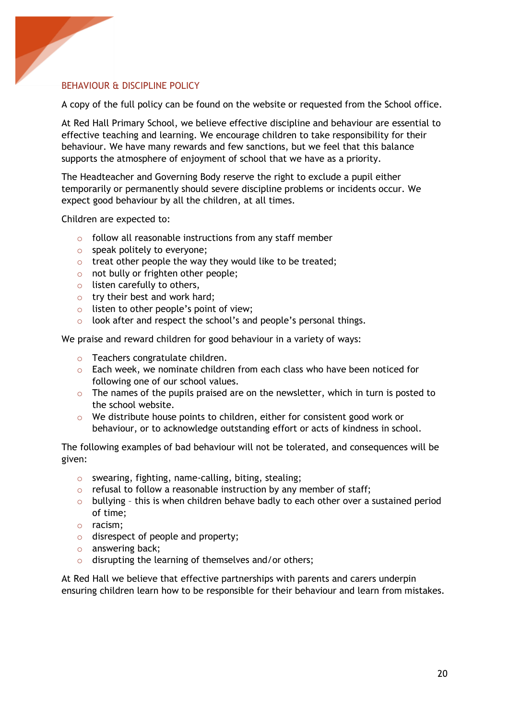

# BEHAVIOUR & DISCIPLINE POLICY

A copy of the full policy can be found on the website or requested from the School office.

At Red Hall Primary School, we believe effective discipline and behaviour are essential to effective teaching and learning. We encourage children to take responsibility for their behaviour. We have many rewards and few sanctions, but we feel that this balance supports the atmosphere of enjoyment of school that we have as a priority.

The Headteacher and Governing Body reserve the right to exclude a pupil either temporarily or permanently should severe discipline problems or incidents occur. We expect good behaviour by all the children, at all times.

Children are expected to:

- o follow all reasonable instructions from any staff member
- o speak politely to everyone;
- o treat other people the way they would like to be treated;
- o not bully or frighten other people;
- $\circ$  listen carefully to others,
- o try their best and work hard;
- o listen to other people's point of view;
- o look after and respect the school's and people's personal things.

We praise and reward children for good behaviour in a variety of ways:

- o Teachers congratulate children.
- $\circ$  Each week, we nominate children from each class who have been noticed for following one of our school values.
- $\circ$  The names of the pupils praised are on the newsletter, which in turn is posted to the school website.
- $\circ$  We distribute house points to children, either for consistent good work or behaviour, or to acknowledge outstanding effort or acts of kindness in school.

The following examples of bad behaviour will not be tolerated, and consequences will be given:

- o swearing, fighting, name-calling, biting, stealing;
- $\circ$  refusal to follow a reasonable instruction by any member of staff;
- $\circ$  bullying this is when children behave badly to each other over a sustained period of time;
- o racism;
- o disrespect of people and property;
- o answering back;
- o disrupting the learning of themselves and/or others;

At Red Hall we believe that effective partnerships with parents and carers underpin ensuring children learn how to be responsible for their behaviour and learn from mistakes.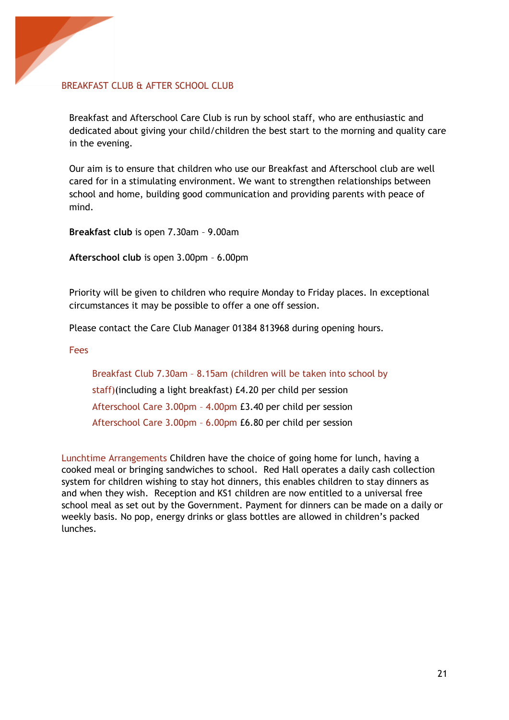

#### BREAKFAST CLUB & AFTER SCHOOL CLUB

Breakfast and Afterschool Care Club is run by school staff, who are enthusiastic and dedicated about giving your child/children the best start to the morning and quality care in the evening.

Our aim is to ensure that children who use our Breakfast and Afterschool club are well cared for in a stimulating environment. We want to strengthen relationships between school and home, building good communication and providing parents with peace of mind.

**Breakfast club** is open 7.30am – 9.00am

**Afterschool club** is open 3.00pm – 6.00pm

Priority will be given to children who require Monday to Friday places. In exceptional circumstances it may be possible to offer a one off session.

Please contact the Care Club Manager 01384 813968 during opening hours.

Fees

Breakfast Club 7.30am – 8.15am (children will be taken into school by staff)(including a light breakfast) £4.20 per child per session Afterschool Care 3.00pm – 4.00pm £3.40 per child per session Afterschool Care 3.00pm – 6.00pm £6.80 per child per session

Lunchtime Arrangements Children have the choice of going home for lunch, having a cooked meal or bringing sandwiches to school. Red Hall operates a daily cash collection system for children wishing to stay hot dinners, this enables children to stay dinners as and when they wish. Reception and KS1 children are now entitled to a universal free school meal as set out by the Government. Payment for dinners can be made on a daily or weekly basis. No pop, energy drinks or glass bottles are allowed in children's packed lunches.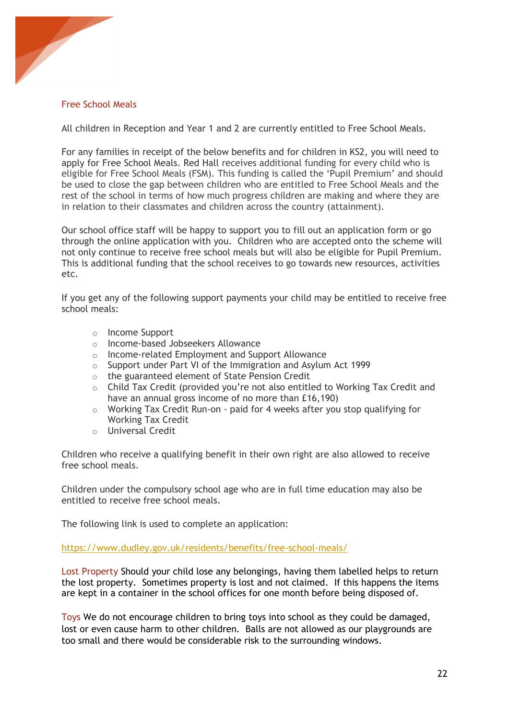

## Free School Meals

All children in Reception and Year 1 and 2 are currently entitled to Free School Meals.

For any families in receipt of the below benefits and for children in KS2, you will need to apply for Free School Meals. Red Hall receives additional funding for every child who is eligible for Free School Meals (FSM). This funding is called the 'Pupil Premium' and should be used to close the gap between children who are entitled to Free School Meals and the rest of the school in terms of how much progress children are making and where they are in relation to their classmates and children across the country (attainment).

Our school office staff will be happy to support you to fill out an application form or go through the online application with you. Children who are accepted onto the scheme will not only continue to receive free school meals but will also be eligible for Pupil Premium. This is additional funding that the school receives to go towards new resources, activities etc.

If you get any of the following support payments your child may be entitled to receive free school meals:

- o Income Support
- o Income-based Jobseekers Allowance
- o Income-related Employment and Support Allowance
- o Support under Part VI of the Immigration and Asylum Act 1999
- o the guaranteed element of State Pension Credit
- o Child Tax Credit (provided you're not also entitled to Working Tax Credit and have an annual gross income of no more than £16,190)
- o Working Tax Credit Run-on paid for 4 weeks after you stop qualifying for Working Tax Credit
- o Universal Credit

Children who receive a qualifying benefit in their own right are also allowed to receive free school meals.

Children under the compulsory school age who are in full time education may also be entitled to receive free school meals.

The following link is used to complete an application:

https://www.dudley.gov.uk/residents/benefits/free-school-meals/

Lost Property Should your child lose any belongings, having them labelled helps to return the lost property. Sometimes property is lost and not claimed. If this happens the items are kept in a container in the school offices for one month before being disposed of.

Toys We do not encourage children to bring toys into school as they could be damaged, lost or even cause harm to other children. Balls are not allowed as our playgrounds are too small and there would be considerable risk to the surrounding windows.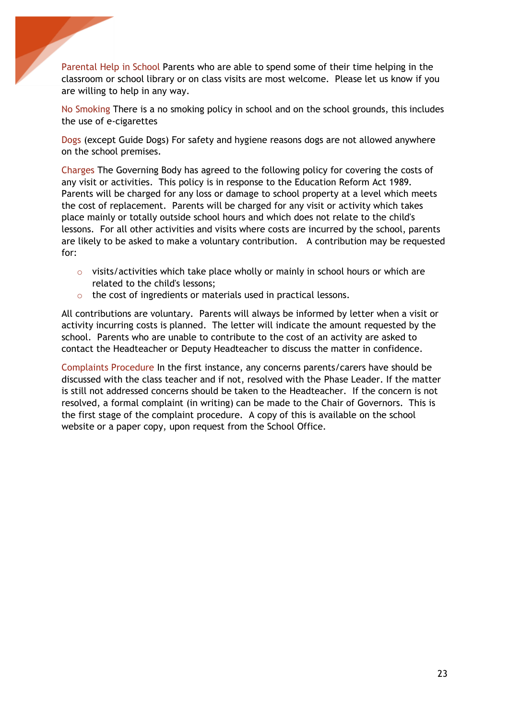Parental Help in School Parents who are able to spend some of their time helping in the classroom or school library or on class visits are most welcome. Please let us know if you are willing to help in any way.

ļ

No Smoking There is a no smoking policy in school and on the school grounds, this includes the use of e-cigarettes

Dogs (except Guide Dogs) For safety and hygiene reasons dogs are not allowed anywhere on the school premises.

Charges The Governing Body has agreed to the following policy for covering the costs of any visit or activities. This policy is in response to the Education Reform Act 1989. Parents will be charged for any loss or damage to school property at a level which meets the cost of replacement. Parents will be charged for any visit or activity which takes place mainly or totally outside school hours and which does not relate to the child's lessons. For all other activities and visits where costs are incurred by the school, parents are likely to be asked to make a voluntary contribution. A contribution may be requested for:

- $\circ$  visits/activities which take place wholly or mainly in school hours or which are related to the child's lessons;
- o the cost of ingredients or materials used in practical lessons.

All contributions are voluntary. Parents will always be informed by letter when a visit or activity incurring costs is planned. The letter will indicate the amount requested by the school. Parents who are unable to contribute to the cost of an activity are asked to contact the Headteacher or Deputy Headteacher to discuss the matter in confidence.

Complaints Procedure In the first instance, any concerns parents/carers have should be discussed with the class teacher and if not, resolved with the Phase Leader. If the matter is still not addressed concerns should be taken to the Headteacher. If the concern is not resolved, a formal complaint (in writing) can be made to the Chair of Governors. This is the first stage of the complaint procedure. A copy of this is available on the school website or a paper copy, upon request from the School Office.